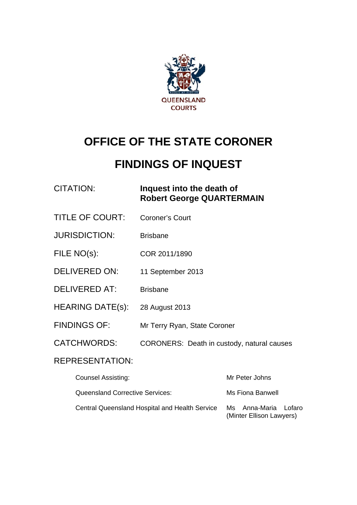

# **OFFICE OF THE STATE CORONER**

# **FINDINGS OF INQUEST**

### CITATION: **Inquest into the death of Robert George QUARTERMAIN**

- TITLE OF COURT: Coroner's Court
- JURISDICTION: Brisbane
- FILE NO(s): COR 2011/1890
- DELIVERED ON: 11 September 2013
- DELIVERED AT: Brisbane
- HEARING DATE(s): 28 August 2013
- FINDINGS OF: Mr Terry Ryan, State Coroner
- CATCHWORDS: CORONERS: Death in custody, natural causes

#### REPRESENTATION:

| <b>Counsel Assisting:</b>                             | Mr Peter Johns                                   |
|-------------------------------------------------------|--------------------------------------------------|
| Queensland Corrective Services:                       | Ms Fiona Banwell                                 |
| <b>Central Queensland Hospital and Health Service</b> | Ms Anna-Maria Lofaro<br>(Minter Ellison Lawyers) |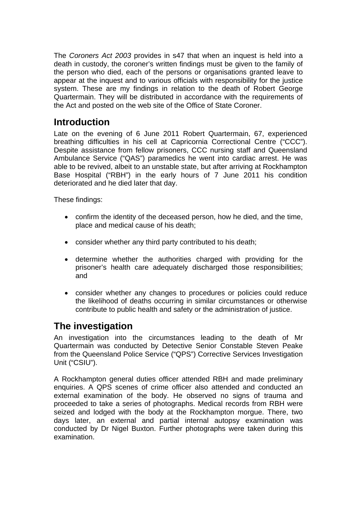The *Coroners Act 2003* provides in s47 that when an inquest is held into a death in custody, the coroner's written findings must be given to the family of the person who died, each of the persons or organisations granted leave to appear at the inquest and to various officials with responsibility for the justice system. These are my findings in relation to the death of Robert George Quartermain. They will be distributed in accordance with the requirements of the Act and posted on the web site of the Office of State Coroner.

## **Introduction**

Late on the evening of 6 June 2011 Robert Quartermain, 67, experienced breathing difficulties in his cell at Capricornia Correctional Centre ("CCC"). Despite assistance from fellow prisoners, CCC nursing staff and Queensland Ambulance Service ("QAS") paramedics he went into cardiac arrest. He was able to be revived, albeit to an unstable state, but after arriving at Rockhampton Base Hospital ("RBH") in the early hours of 7 June 2011 his condition deteriorated and he died later that day.

These findings:

- confirm the identity of the deceased person, how he died, and the time, place and medical cause of his death;
- consider whether any third party contributed to his death;
- determine whether the authorities charged with providing for the prisoner's health care adequately discharged those responsibilities; and
- consider whether any changes to procedures or policies could reduce the likelihood of deaths occurring in similar circumstances or otherwise contribute to public health and safety or the administration of justice.

# **The investigation**

An investigation into the circumstances leading to the death of Mr Quartermain was conducted by Detective Senior Constable Steven Peake from the Queensland Police Service ("QPS") Corrective Services Investigation Unit ("CSIU").

A Rockhampton general duties officer attended RBH and made preliminary enquiries. A QPS scenes of crime officer also attended and conducted an external examination of the body. He observed no signs of trauma and proceeded to take a series of photographs. Medical records from RBH were seized and lodged with the body at the Rockhampton morgue. There, two days later, an external and partial internal autopsy examination was conducted by Dr Nigel Buxton. Further photographs were taken during this examination.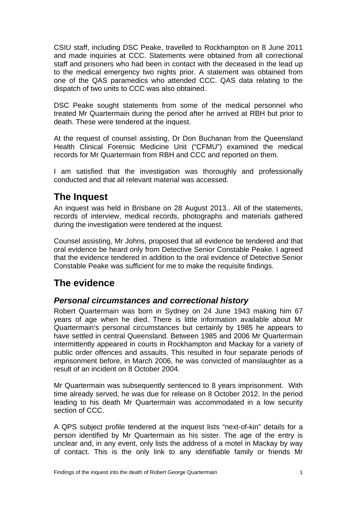CSIU staff, including DSC Peake, travelled to Rockhampton on 8 June 2011 and made inquiries at CCC. Statements were obtained from all correctional staff and prisoners who had been in contact with the deceased in the lead up to the medical emergency two nights prior. A statement was obtained from one of the QAS paramedics who attended CCC. QAS data relating to the dispatch of two units to CCC was also obtained.

DSC Peake sought statements from some of the medical personnel who treated Mr Quartermain during the period after he arrived at RBH but prior to death. These were tendered at the inquest.

At the request of counsel assisting, Dr Don Buchanan from the Queensland Health Clinical Forensic Medicine Unit ("CFMU") examined the medical records for Mr Quartermain from RBH and CCC and reported on them.

I am satisfied that the investigation was thoroughly and professionally conducted and that all relevant material was accessed.

# **The Inquest**

An inquest was held in Brisbane on 28 August 2013.. All of the statements, records of interview, medical records, photographs and materials gathered during the investigation were tendered at the inquest.

Counsel assisting, Mr Johns, proposed that all evidence be tendered and that oral evidence be heard only from Detective Senior Constable Peake. I agreed that the evidence tendered in addition to the oral evidence of Detective Senior Constable Peake was sufficient for me to make the requisite findings.

# **The evidence**

#### *Personal circumstances and correctional history*

Robert Quartermain was born in Sydney on 24 June 1943 making him 67 years of age when he died. There is little information available about Mr Quartermain's personal circumstances but certainly by 1985 he appears to have settled in central Queensland. Between 1985 and 2006 Mr Quartermain intermittently appeared in courts in Rockhampton and Mackay for a variety of public order offences and assaults. This resulted in four separate periods of imprisonment before, in March 2006, he was convicted of manslaughter as a result of an incident on 8 October 2004.

Mr Quartermain was subsequently sentenced to 8 years imprisonment. With time already served, he was due for release on 8 October 2012. In the period leading to his death Mr Quartermain was accommodated in a low security section of CCC.

A QPS subject profile tendered at the inquest lists "next-of-kin" details for a person identified by Mr Quartermain as his sister. The age of the entry is unclear and, in any event, only lists the address of a motel in Mackay by way of contact. This is the only link to any identifiable family or friends Mr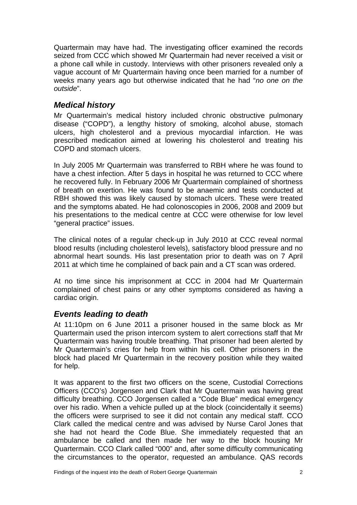Quartermain may have had. The investigating officer examined the records seized from CCC which showed Mr Quartermain had never received a visit or a phone call while in custody. Interviews with other prisoners revealed only a vague account of Mr Quartermain having once been married for a number of weeks many years ago but otherwise indicated that he had "*no one on the outside*".

#### *Medical history*

Mr Quartermain's medical history included chronic obstructive pulmonary disease ("COPD"), a lengthy history of smoking, alcohol abuse, stomach ulcers, high cholesterol and a previous myocardial infarction. He was prescribed medication aimed at lowering his cholesterol and treating his COPD and stomach ulcers.

In July 2005 Mr Quartermain was transferred to RBH where he was found to have a chest infection. After 5 days in hospital he was returned to CCC where he recovered fully. In February 2006 Mr Quartermain complained of shortness of breath on exertion. He was found to be anaemic and tests conducted at RBH showed this was likely caused by stomach ulcers. These were treated and the symptoms abated. He had colonoscopies in 2006, 2008 and 2009 but his presentations to the medical centre at CCC were otherwise for low level "general practice" issues.

The clinical notes of a regular check-up in July 2010 at CCC reveal normal blood results (including cholesterol levels), satisfactory blood pressure and no abnormal heart sounds. His last presentation prior to death was on 7 April 2011 at which time he complained of back pain and a CT scan was ordered.

At no time since his imprisonment at CCC in 2004 had Mr Quartermain complained of chest pains or any other symptoms considered as having a cardiac origin.

#### *Events leading to death*

At 11:10pm on 6 June 2011 a prisoner housed in the same block as Mr Quartermain used the prison intercom system to alert corrections staff that Mr Quartermain was having trouble breathing. That prisoner had been alerted by Mr Quartermain's cries for help from within his cell. Other prisoners in the block had placed Mr Quartermain in the recovery position while they waited for help.

It was apparent to the first two officers on the scene, Custodial Corrections Officers (CCO's) Jorgensen and Clark that Mr Quartermain was having great difficulty breathing. CCO Jorgensen called a "Code Blue" medical emergency over his radio. When a vehicle pulled up at the block (coincidentally it seems) the officers were surprised to see it did not contain any medical staff. CCO Clark called the medical centre and was advised by Nurse Carol Jones that she had not heard the Code Blue. She immediately requested that an ambulance be called and then made her way to the block housing Mr Quartermain. CCO Clark called "000" and, after some difficulty communicating the circumstances to the operator, requested an ambulance. QAS records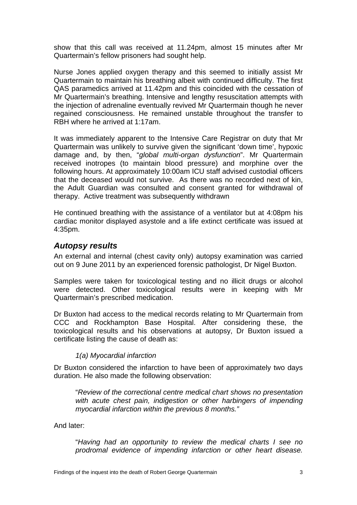show that this call was received at 11.24pm, almost 15 minutes after Mr Quartermain's fellow prisoners had sought help.

Nurse Jones applied oxygen therapy and this seemed to initially assist Mr Quartermain to maintain his breathing albeit with continued difficulty. The first QAS paramedics arrived at 11.42pm and this coincided with the cessation of Mr Quartermain's breathing. Intensive and lengthy resuscitation attempts with the injection of adrenaline eventually revived Mr Quartermain though he never regained consciousness. He remained unstable throughout the transfer to RBH where he arrived at 1:17am.

It was immediately apparent to the Intensive Care Registrar on duty that Mr Quartermain was unlikely to survive given the significant 'down time', hypoxic damage and, by then, "*global multi-organ dysfunction*". Mr Quartermain received inotropes (to maintain blood pressure) and morphine over the following hours. At approximately 10:00am ICU staff advised custodial officers that the deceased would not survive. As there was no recorded next of kin, the Adult Guardian was consulted and consent granted for withdrawal of therapy. Active treatment was subsequently withdrawn

He continued breathing with the assistance of a ventilator but at 4:08pm his cardiac monitor displayed asystole and a life extinct certificate was issued at 4:35pm.

#### *Autopsy results*

An external and internal (chest cavity only) autopsy examination was carried out on 9 June 2011 by an experienced forensic pathologist, Dr Nigel Buxton.

Samples were taken for toxicological testing and no illicit drugs or alcohol were detected. Other toxicological results were in keeping with Mr Quartermain's prescribed medication.

Dr Buxton had access to the medical records relating to Mr Quartermain from CCC and Rockhampton Base Hospital. After considering these, the toxicological results and his observations at autopsy, Dr Buxton issued a certificate listing the cause of death as:

#### *1(a) Myocardial infarction*

Dr Buxton considered the infarction to have been of approximately two days duration. He also made the following observation:

"*Review of the correctional centre medical chart shows no presentation with acute chest pain, indigestion or other harbingers of impending myocardial infarction within the previous 8 months."*

And later:

"*Having had an opportunity to review the medical charts I see no prodromal evidence of impending infarction or other heart disease.*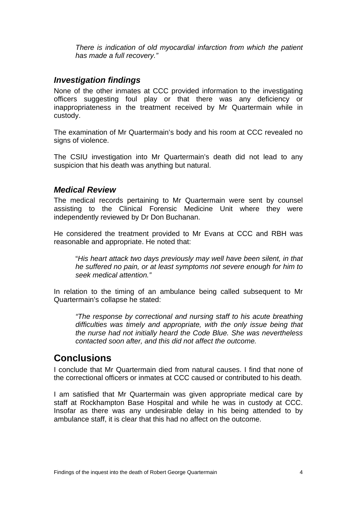*There is indication of old myocardial infarction from which the patient has made a full recovery."* 

#### *Investigation findings*

None of the other inmates at CCC provided information to the investigating officers suggesting foul play or that there was any deficiency or inappropriateness in the treatment received by Mr Quartermain while in custody.

The examination of Mr Quartermain's body and his room at CCC revealed no signs of violence.

The CSIU investigation into Mr Quartermain's death did not lead to any suspicion that his death was anything but natural.

#### *Medical Review*

The medical records pertaining to Mr Quartermain were sent by counsel assisting to the Clinical Forensic Medicine Unit where they were independently reviewed by Dr Don Buchanan.

He considered the treatment provided to Mr Evans at CCC and RBH was reasonable and appropriate. He noted that:

"*His heart attack two days previously may well have been silent, in that he suffered no pain, or at least symptoms not severe enough for him to seek medical attention."* 

In relation to the timing of an ambulance being called subsequent to Mr Quartermain's collapse he stated:

*"The response by correctional and nursing staff to his acute breathing difficulties was timely and appropriate, with the only issue being that the nurse had not initially heard the Code Blue. She was nevertheless contacted soon after, and this did not affect the outcome.*

### **Conclusions**

I conclude that Mr Quartermain died from natural causes. I find that none of the correctional officers or inmates at CCC caused or contributed to his death.

I am satisfied that Mr Quartermain was given appropriate medical care by staff at Rockhampton Base Hospital and while he was in custody at CCC. Insofar as there was any undesirable delay in his being attended to by ambulance staff, it is clear that this had no affect on the outcome.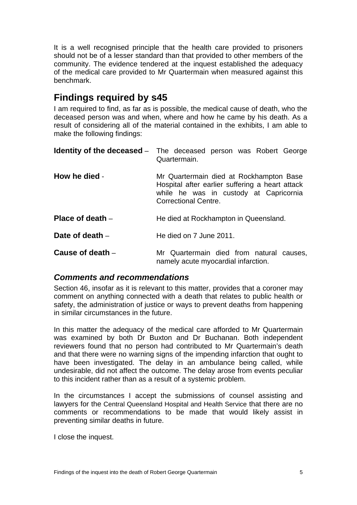It is a well recognised principle that the health care provided to prisoners should not be of a lesser standard than that provided to other members of the community. The evidence tendered at the inquest established the adequacy of the medical care provided to Mr Quartermain when measured against this benchmark.

# **Findings required by s45**

I am required to find, as far as is possible, the medical cause of death, who the deceased person was and when, where and how he came by his death. As a result of considering all of the material contained in the exhibits, I am able to make the following findings:

|                    | <b>Identity of the deceased</b> – The deceased person was Robert George<br>Quartermain.                                                                             |
|--------------------|---------------------------------------------------------------------------------------------------------------------------------------------------------------------|
| How he died -      | Mr Quartermain died at Rockhampton Base<br>Hospital after earlier suffering a heart attack<br>while he was in custody at Capricornia<br><b>Correctional Centre.</b> |
| Place of death $-$ | He died at Rockhampton in Queensland.                                                                                                                               |
| Date of death $-$  | He died on 7 June 2011.                                                                                                                                             |
| Cause of death $-$ | Mr Quartermain died from natural causes,<br>namely acute myocardial infarction.                                                                                     |

#### *Comments and recommendations*

Section 46, insofar as it is relevant to this matter, provides that a coroner may comment on anything connected with a death that relates to public health or safety, the administration of justice or ways to prevent deaths from happening in similar circumstances in the future.

In this matter the adequacy of the medical care afforded to Mr Quartermain was examined by both Dr Buxton and Dr Buchanan. Both independent reviewers found that no person had contributed to Mr Quartermain's death and that there were no warning signs of the impending infarction that ought to have been investigated. The delay in an ambulance being called, while undesirable, did not affect the outcome. The delay arose from events peculiar to this incident rather than as a result of a systemic problem.

In the circumstances I accept the submissions of counsel assisting and lawyers for the Central Queensland Hospital and Health Service that there are no comments or recommendations to be made that would likely assist in preventing similar deaths in future.

I close the inquest.